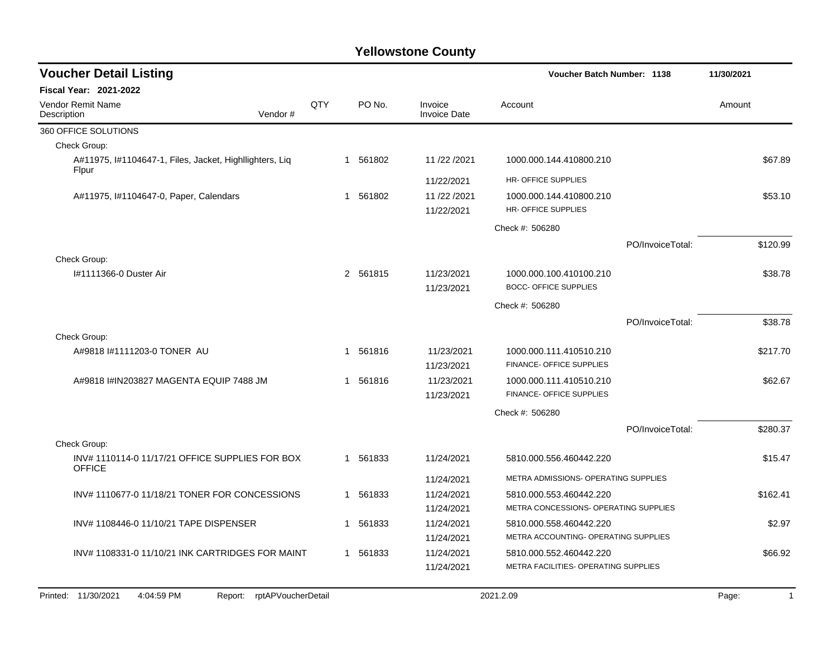| <b>Voucher Detail Listing</b>                                    |         |     |   |          |                                | Voucher Batch Number: 1138                    |                  | 11/30/2021 |
|------------------------------------------------------------------|---------|-----|---|----------|--------------------------------|-----------------------------------------------|------------------|------------|
| <b>Fiscal Year: 2021-2022</b>                                    |         |     |   |          |                                |                                               |                  |            |
| <b>Vendor Remit Name</b><br>Description                          | Vendor# | QTY |   | PO No.   | Invoice<br><b>Invoice Date</b> | Account                                       |                  | Amount     |
| 360 OFFICE SOLUTIONS                                             |         |     |   |          |                                |                                               |                  |            |
| Check Group:                                                     |         |     |   |          |                                |                                               |                  |            |
| A#11975, I#1104647-1, Files, Jacket, Highllighters, Lig<br>Flpur |         |     | 1 | 561802   | 11/22/2021                     | 1000.000.144.410800.210                       |                  | \$67.89    |
|                                                                  |         |     |   |          | 11/22/2021                     | HR- OFFICE SUPPLIES                           |                  |            |
| A#11975, 1#1104647-0, Paper, Calendars                           |         |     |   | 1 561802 | 11/22/2021<br>11/22/2021       | 1000.000.144.410800.210<br>HR-OFFICE SUPPLIES |                  | \$53.10    |
|                                                                  |         |     |   |          |                                | Check #: 506280                               |                  |            |
|                                                                  |         |     |   |          |                                |                                               | PO/InvoiceTotal: | \$120.99   |
| Check Group:                                                     |         |     |   |          |                                |                                               |                  |            |
| I#1111366-0 Duster Air                                           |         |     |   | 2 561815 | 11/23/2021                     | 1000.000.100.410100.210                       |                  | \$38.78    |
|                                                                  |         |     |   |          | 11/23/2021                     | <b>BOCC- OFFICE SUPPLIES</b>                  |                  |            |
|                                                                  |         |     |   |          |                                | Check #: 506280                               |                  |            |
|                                                                  |         |     |   |          |                                |                                               | PO/InvoiceTotal: | \$38.78    |
| Check Group:                                                     |         |     |   |          |                                |                                               |                  |            |
| A#9818 I#1111203-0 TONER AU                                      |         |     |   | 1 561816 | 11/23/2021                     | 1000.000.111.410510.210                       |                  | \$217.70   |
|                                                                  |         |     |   |          | 11/23/2021                     | FINANCE- OFFICE SUPPLIES                      |                  |            |
| A#9818 I#IN203827 MAGENTA EQUIP 7488 JM                          |         |     |   | 1 561816 | 11/23/2021                     | 1000.000.111.410510.210                       |                  | \$62.67    |
|                                                                  |         |     |   |          | 11/23/2021                     | FINANCE- OFFICE SUPPLIES                      |                  |            |
|                                                                  |         |     |   |          |                                | Check #: 506280                               |                  |            |
|                                                                  |         |     |   |          |                                |                                               | PO/InvoiceTotal: | \$280.37   |
| Check Group:                                                     |         |     |   |          |                                |                                               |                  |            |
| INV#1110114-011/17/21 OFFICE SUPPLIES FOR BOX<br><b>OFFICE</b>   |         |     |   | 1 561833 | 11/24/2021                     | 5810.000.556.460442.220                       |                  | \$15.47    |
|                                                                  |         |     |   |          | 11/24/2021                     | METRA ADMISSIONS- OPERATING SUPPLIES          |                  |            |
| INV#1110677-011/18/21 TONER FOR CONCESSIONS                      |         |     | 1 | 561833   | 11/24/2021                     | 5810.000.553.460442.220                       |                  | \$162.41   |
|                                                                  |         |     |   |          | 11/24/2021                     | METRA CONCESSIONS- OPERATING SUPPLIES         |                  |            |
| INV# 1108446-0 11/10/21 TAPE DISPENSER                           |         |     | 1 | 561833   | 11/24/2021                     | 5810.000.558.460442.220                       |                  | \$2.97     |
|                                                                  |         |     |   |          | 11/24/2021                     | METRA ACCOUNTING- OPERATING SUPPLIES          |                  |            |
| INV#1108331-011/10/21 INK CARTRIDGES FOR MAINT                   |         |     |   | 1 561833 | 11/24/2021                     | 5810.000.552.460442.220                       |                  | \$66.92    |
|                                                                  |         |     |   |          | 11/24/2021                     | METRA FACILITIES- OPERATING SUPPLIES          |                  |            |
|                                                                  |         |     |   |          |                                |                                               |                  |            |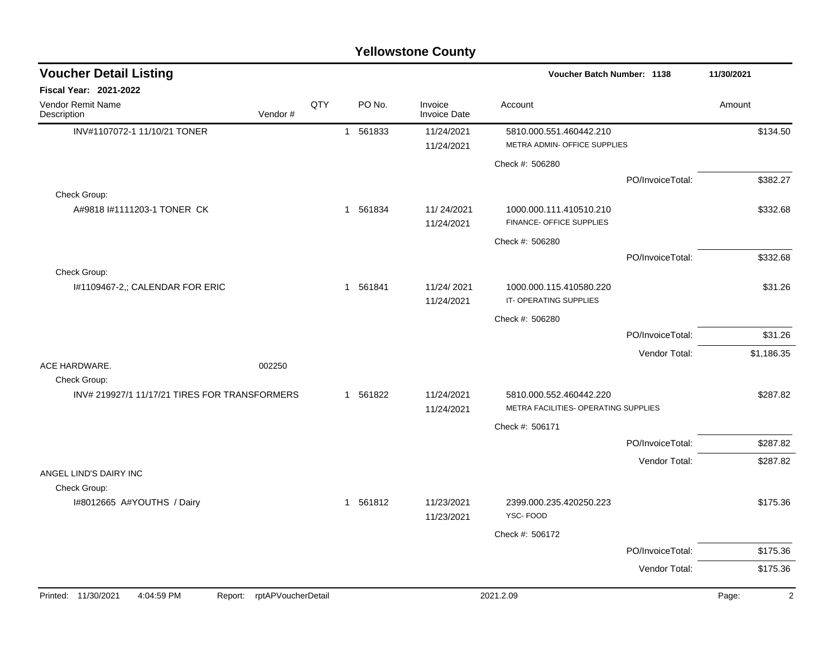| <b>Yellowstone County</b> |  |
|---------------------------|--|
|---------------------------|--|

| <b>Voucher Detail Listing</b>                 |                    |     |          |                                | <b>Voucher Batch Number: 1138</b>                               |                  | 11/30/2021              |
|-----------------------------------------------|--------------------|-----|----------|--------------------------------|-----------------------------------------------------------------|------------------|-------------------------|
| Fiscal Year: 2021-2022                        |                    |     |          |                                |                                                                 |                  |                         |
| Vendor Remit Name<br>Description              | Vendor#            | QTY | PO No.   | Invoice<br><b>Invoice Date</b> | Account                                                         |                  | Amount                  |
| INV#1107072-1 11/10/21 TONER                  |                    |     | 1 561833 | 11/24/2021                     | 5810.000.551.460442.210                                         |                  | \$134.50                |
|                                               |                    |     |          | 11/24/2021                     | METRA ADMIN- OFFICE SUPPLIES                                    |                  |                         |
|                                               |                    |     |          |                                | Check #: 506280                                                 |                  |                         |
|                                               |                    |     |          |                                |                                                                 | PO/InvoiceTotal: | \$382.27                |
| Check Group:                                  |                    |     |          |                                |                                                                 |                  |                         |
| A#9818 #1111203-1 TONER CK                    |                    |     | 1 561834 | 11/24/2021<br>11/24/2021       | 1000.000.111.410510.210<br>FINANCE- OFFICE SUPPLIES             |                  | \$332.68                |
|                                               |                    |     |          |                                | Check #: 506280                                                 |                  |                         |
|                                               |                    |     |          |                                |                                                                 | PO/InvoiceTotal: | \$332.68                |
| Check Group:                                  |                    |     |          |                                |                                                                 |                  |                         |
| I#1109467-2,; CALENDAR FOR ERIC               |                    |     | 1 561841 | 11/24/2021<br>11/24/2021       | 1000.000.115.410580.220<br>IT-OPERATING SUPPLIES                |                  | \$31.26                 |
|                                               |                    |     |          |                                | Check #: 506280                                                 |                  |                         |
|                                               |                    |     |          |                                |                                                                 | PO/InvoiceTotal: | \$31.26                 |
|                                               |                    |     |          |                                |                                                                 | Vendor Total:    | \$1,186.35              |
| ACE HARDWARE.                                 | 002250             |     |          |                                |                                                                 |                  |                         |
| Check Group:                                  |                    |     |          |                                |                                                                 |                  |                         |
| INV# 219927/1 11/17/21 TIRES FOR TRANSFORMERS |                    |     | 1 561822 | 11/24/2021<br>11/24/2021       | 5810.000.552.460442.220<br>METRA FACILITIES- OPERATING SUPPLIES |                  | \$287.82                |
|                                               |                    |     |          |                                | Check #: 506171                                                 |                  |                         |
|                                               |                    |     |          |                                |                                                                 | PO/InvoiceTotal: | \$287.82                |
|                                               |                    |     |          |                                |                                                                 | Vendor Total:    | \$287.82                |
| ANGEL LIND'S DAIRY INC                        |                    |     |          |                                |                                                                 |                  |                         |
| Check Group:                                  |                    |     |          |                                |                                                                 |                  |                         |
| I#8012665 A#YOUTHS / Dairy                    |                    |     | 1 561812 | 11/23/2021<br>11/23/2021       | 2399.000.235.420250.223<br>YSC-FOOD                             |                  | \$175.36                |
|                                               |                    |     |          |                                | Check #: 506172                                                 |                  |                         |
|                                               |                    |     |          |                                |                                                                 | PO/InvoiceTotal: | \$175.36                |
|                                               |                    |     |          |                                |                                                                 | Vendor Total:    | \$175.36                |
|                                               |                    |     |          |                                |                                                                 |                  |                         |
| Printed: 11/30/2021<br>4:04:59 PM<br>Report:  | rptAPVoucherDetail |     |          |                                | 2021.2.09                                                       |                  | $\overline{c}$<br>Page: |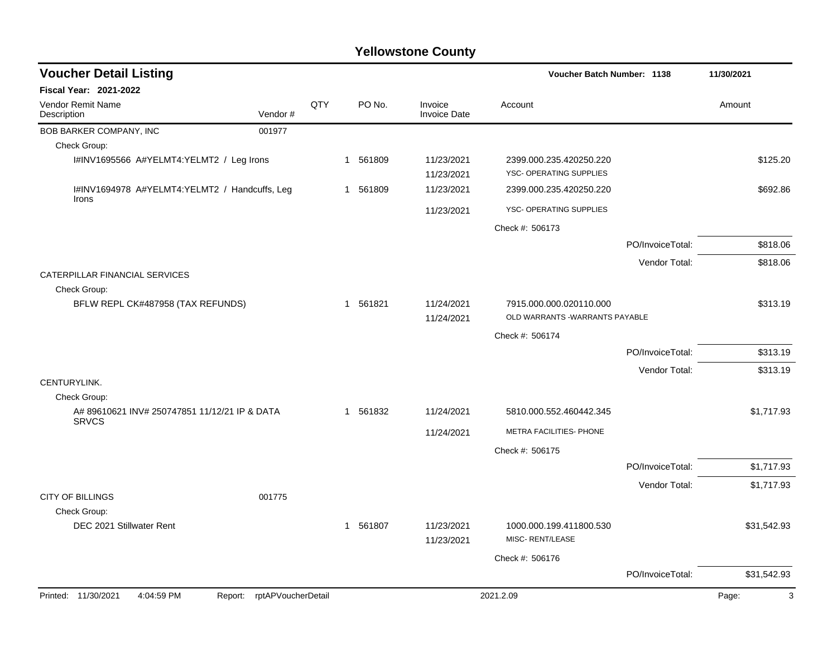| <b>Voucher Detail Listing</b>                                   |     |                        |                                | <b>Voucher Batch Number: 1138</b>                          |                  | 11/30/2021  |
|-----------------------------------------------------------------|-----|------------------------|--------------------------------|------------------------------------------------------------|------------------|-------------|
| <b>Fiscal Year: 2021-2022</b>                                   |     |                        |                                |                                                            |                  |             |
| Vendor Remit Name<br>Vendor#<br>Description                     | QTY | PO No.                 | Invoice<br><b>Invoice Date</b> | Account                                                    |                  | Amount      |
| BOB BARKER COMPANY, INC<br>001977                               |     |                        |                                |                                                            |                  |             |
| Check Group:                                                    |     |                        |                                |                                                            |                  |             |
| I#INV1695566 A#YELMT4:YELMT2 / Leg Irons                        |     | 1 561809               | 11/23/2021<br>11/23/2021       | 2399.000.235.420250.220<br>YSC- OPERATING SUPPLIES         |                  | \$125.20    |
| I#INV1694978 A#YELMT4:YELMT2 / Handcuffs, Leg<br>Irons          |     | 1 561809               | 11/23/2021                     | 2399.000.235.420250.220                                    |                  | \$692.86    |
|                                                                 |     |                        | 11/23/2021                     | YSC- OPERATING SUPPLIES                                    |                  |             |
|                                                                 |     |                        |                                | Check #: 506173                                            |                  |             |
|                                                                 |     |                        |                                |                                                            | PO/InvoiceTotal: | \$818.06    |
|                                                                 |     |                        |                                |                                                            | Vendor Total:    | \$818.06    |
| CATERPILLAR FINANCIAL SERVICES<br>Check Group:                  |     |                        |                                |                                                            |                  |             |
| BFLW REPL CK#487958 (TAX REFUNDS)                               |     | 1 561821               | 11/24/2021<br>11/24/2021       | 7915.000.000.020110.000<br>OLD WARRANTS - WARRANTS PAYABLE |                  | \$313.19    |
|                                                                 |     |                        |                                | Check #: 506174                                            |                  |             |
|                                                                 |     |                        |                                |                                                            | PO/InvoiceTotal: | \$313.19    |
|                                                                 |     |                        |                                |                                                            | Vendor Total:    | \$313.19    |
| CENTURYLINK.                                                    |     |                        |                                |                                                            |                  |             |
| Check Group:                                                    |     |                        |                                |                                                            |                  |             |
| A# 89610621 INV# 250747851 11/12/21 IP & DATA<br><b>SRVCS</b>   |     | 561832<br>$\mathbf{1}$ | 11/24/2021                     | 5810.000.552.460442.345                                    |                  | \$1,717.93  |
|                                                                 |     |                        | 11/24/2021                     | METRA FACILITIES- PHONE                                    |                  |             |
|                                                                 |     |                        |                                | Check #: 506175                                            |                  |             |
|                                                                 |     |                        |                                |                                                            | PO/InvoiceTotal: | \$1,717.93  |
|                                                                 |     |                        |                                |                                                            | Vendor Total:    | \$1,717.93  |
| <b>CITY OF BILLINGS</b><br>001775                               |     |                        |                                |                                                            |                  |             |
| Check Group:<br>DEC 2021 Stillwater Rent                        |     | 1 561807               | 11/23/2021<br>11/23/2021       | 1000.000.199.411800.530<br>MISC- RENT/LEASE                |                  | \$31,542.93 |
|                                                                 |     |                        |                                | Check #: 506176                                            |                  |             |
|                                                                 |     |                        |                                |                                                            | PO/InvoiceTotal: | \$31,542.93 |
| Printed: 11/30/2021<br>4:04:59 PM<br>Report: rptAPVoucherDetail |     |                        |                                | 2021.2.09                                                  |                  | Page:<br>3  |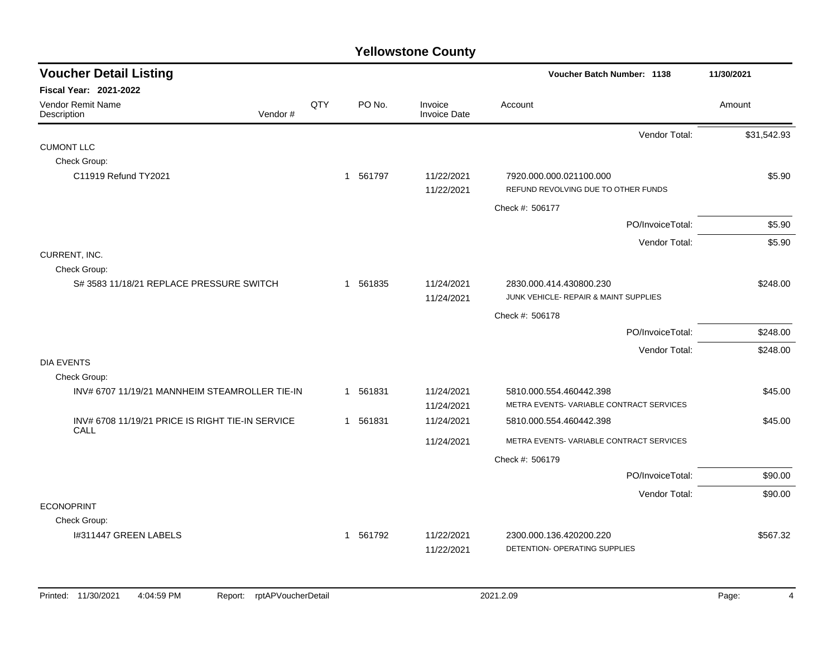| <b>Voucher Detail Listing</b>                            |         |     |          |                          | Voucher Batch Number: 1138                                       | 11/30/2021  |
|----------------------------------------------------------|---------|-----|----------|--------------------------|------------------------------------------------------------------|-------------|
| Fiscal Year: 2021-2022                                   |         |     |          |                          |                                                                  |             |
| Vendor Remit Name<br>Description                         | Vendor# | QTY | PO No.   | Invoice<br>Invoice Date  | Account                                                          | Amount      |
|                                                          |         |     |          |                          | Vendor Total:                                                    | \$31,542.93 |
| <b>CUMONT LLC</b>                                        |         |     |          |                          |                                                                  |             |
| Check Group:                                             |         |     |          |                          |                                                                  |             |
| C11919 Refund TY2021                                     |         |     | 1 561797 | 11/22/2021               | 7920.000.000.021100.000                                          | \$5.90      |
|                                                          |         |     |          | 11/22/2021               | REFUND REVOLVING DUE TO OTHER FUNDS                              |             |
|                                                          |         |     |          |                          | Check #: 506177                                                  |             |
|                                                          |         |     |          |                          | PO/InvoiceTotal:                                                 | \$5.90      |
|                                                          |         |     |          |                          | Vendor Total:                                                    | \$5.90      |
| CURRENT, INC.                                            |         |     |          |                          |                                                                  |             |
| Check Group:                                             |         |     |          |                          |                                                                  |             |
| S# 3583 11/18/21 REPLACE PRESSURE SWITCH                 |         |     | 1 561835 | 11/24/2021<br>11/24/2021 | 2830.000.414.430800.230<br>JUNK VEHICLE- REPAIR & MAINT SUPPLIES | \$248.00    |
|                                                          |         |     |          |                          | Check #: 506178                                                  |             |
|                                                          |         |     |          |                          | PO/InvoiceTotal:                                                 | \$248.00    |
|                                                          |         |     |          |                          | Vendor Total:                                                    | \$248.00    |
| <b>DIA EVENTS</b>                                        |         |     |          |                          |                                                                  |             |
| Check Group:                                             |         |     |          |                          |                                                                  |             |
| INV# 6707 11/19/21 MANNHEIM STEAMROLLER TIE-IN           |         |     | 1 561831 | 11/24/2021               | 5810.000.554.460442.398                                          | \$45.00     |
|                                                          |         |     |          | 11/24/2021               | METRA EVENTS-VARIABLE CONTRACT SERVICES                          |             |
| INV# 6708 11/19/21 PRICE IS RIGHT TIE-IN SERVICE<br>CALL |         |     | 1 561831 | 11/24/2021               | 5810.000.554.460442.398                                          | \$45.00     |
|                                                          |         |     |          | 11/24/2021               | METRA EVENTS-VARIABLE CONTRACT SERVICES                          |             |
|                                                          |         |     |          |                          | Check #: 506179                                                  |             |
|                                                          |         |     |          |                          | PO/InvoiceTotal:                                                 | \$90.00     |
|                                                          |         |     |          |                          | Vendor Total:                                                    | \$90.00     |
| <b>ECONOPRINT</b>                                        |         |     |          |                          |                                                                  |             |
| Check Group:                                             |         |     |          |                          |                                                                  |             |
| I#311447 GREEN LABELS                                    |         |     | 1 561792 | 11/22/2021               | 2300.000.136.420200.220                                          | \$567.32    |
|                                                          |         |     |          | 11/22/2021               | DETENTION- OPERATING SUPPLIES                                    |             |
|                                                          |         |     |          |                          |                                                                  |             |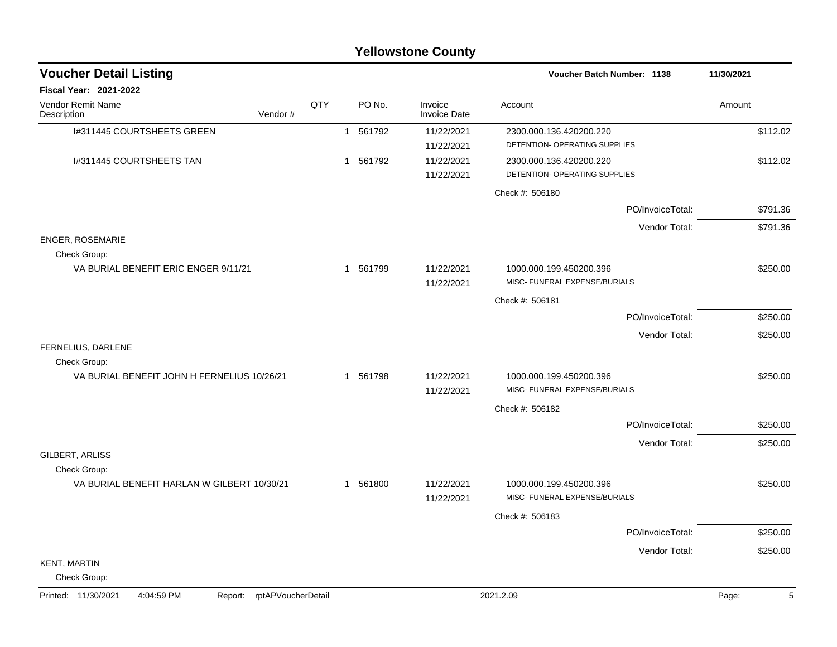| <b>Yellowstone County</b>                                       |     |              |        |                                |                                                          |                  |                     |  |  |  |
|-----------------------------------------------------------------|-----|--------------|--------|--------------------------------|----------------------------------------------------------|------------------|---------------------|--|--|--|
| <b>Voucher Detail Listing</b>                                   |     |              |        |                                | Voucher Batch Number: 1138                               |                  | 11/30/2021          |  |  |  |
| Fiscal Year: 2021-2022                                          |     |              |        |                                |                                                          |                  |                     |  |  |  |
| Vendor Remit Name<br>Vendor#<br>Description                     | QTY |              | PO No. | Invoice<br><b>Invoice Date</b> | Account                                                  |                  | Amount              |  |  |  |
| I#311445 COURTSHEETS GREEN                                      |     | $\mathbf{1}$ | 561792 | 11/22/2021<br>11/22/2021       | 2300.000.136.420200.220<br>DETENTION- OPERATING SUPPLIES |                  | \$112.02            |  |  |  |
| I#311445 COURTSHEETS TAN                                        |     | 1            | 561792 | 11/22/2021<br>11/22/2021       | 2300.000.136.420200.220<br>DETENTION- OPERATING SUPPLIES |                  | \$112.02            |  |  |  |
|                                                                 |     |              |        |                                | Check #: 506180                                          |                  |                     |  |  |  |
|                                                                 |     |              |        |                                |                                                          | PO/InvoiceTotal: | \$791.36            |  |  |  |
|                                                                 |     |              |        |                                |                                                          | Vendor Total:    | \$791.36            |  |  |  |
| ENGER, ROSEMARIE<br>Check Group:                                |     |              |        |                                |                                                          |                  |                     |  |  |  |
| VA BURIAL BENEFIT ERIC ENGER 9/11/21                            |     | 1            | 561799 | 11/22/2021<br>11/22/2021       | 1000.000.199.450200.396<br>MISC- FUNERAL EXPENSE/BURIALS |                  | \$250.00            |  |  |  |
|                                                                 |     |              |        |                                | Check #: 506181                                          |                  |                     |  |  |  |
|                                                                 |     |              |        |                                |                                                          | PO/InvoiceTotal: | \$250.00            |  |  |  |
|                                                                 |     |              |        |                                |                                                          | Vendor Total:    | \$250.00            |  |  |  |
| FERNELIUS, DARLENE<br>Check Group:                              |     |              |        |                                |                                                          |                  |                     |  |  |  |
| VA BURIAL BENEFIT JOHN H FERNELIUS 10/26/21                     |     | $\mathbf 1$  | 561798 | 11/22/2021<br>11/22/2021       | 1000.000.199.450200.396<br>MISC- FUNERAL EXPENSE/BURIALS |                  | \$250.00            |  |  |  |
|                                                                 |     |              |        |                                | Check #: 506182                                          |                  |                     |  |  |  |
|                                                                 |     |              |        |                                |                                                          | PO/InvoiceTotal: | \$250.00            |  |  |  |
|                                                                 |     |              |        |                                |                                                          | Vendor Total:    | \$250.00            |  |  |  |
| GILBERT, ARLISS<br>Check Group:                                 |     |              |        |                                |                                                          |                  |                     |  |  |  |
| VA BURIAL BENEFIT HARLAN W GILBERT 10/30/21                     |     | 1            | 561800 | 11/22/2021<br>11/22/2021       | 1000.000.199.450200.396<br>MISC- FUNERAL EXPENSE/BURIALS |                  | \$250.00            |  |  |  |
|                                                                 |     |              |        |                                | Check #: 506183                                          |                  |                     |  |  |  |
|                                                                 |     |              |        |                                |                                                          | PO/InvoiceTotal: | \$250.00            |  |  |  |
|                                                                 |     |              |        |                                |                                                          | Vendor Total:    | \$250.00            |  |  |  |
| <b>KENT, MARTIN</b><br>Check Group:                             |     |              |        |                                |                                                          |                  |                     |  |  |  |
| 4:04:59 PM<br>Report: rptAPVoucherDetail<br>Printed: 11/30/2021 |     |              |        |                                | 2021.2.09                                                |                  | $\sqrt{5}$<br>Page: |  |  |  |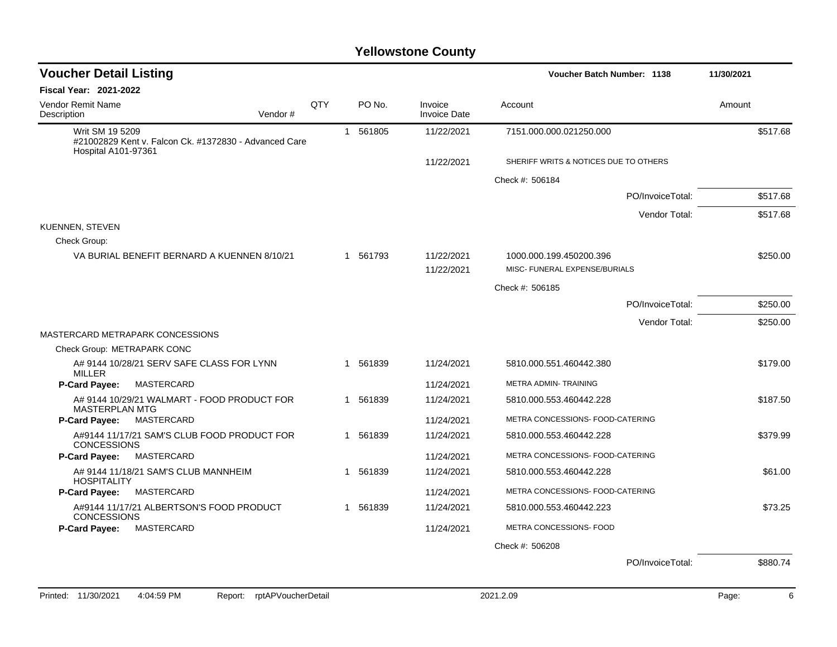| <b>Voucher Detail Listing</b>                                            |     |  |          |                                | <b>Voucher Batch Number: 1138</b>     |                  | 11/30/2021 |
|--------------------------------------------------------------------------|-----|--|----------|--------------------------------|---------------------------------------|------------------|------------|
| <b>Fiscal Year: 2021-2022</b>                                            |     |  |          |                                |                                       |                  |            |
| <b>Vendor Remit Name</b><br>Description<br>Vendor#                       | QTY |  | PO No.   | Invoice<br><b>Invoice Date</b> | Account                               |                  | Amount     |
| Writ SM 19 5209<br>#21002829 Kent v. Falcon Ck. #1372830 - Advanced Care |     |  | 1 561805 | 11/22/2021                     | 7151.000.000.021250.000               |                  | \$517.68   |
| <b>Hospital A101-97361</b>                                               |     |  |          | 11/22/2021                     | SHERIFF WRITS & NOTICES DUE TO OTHERS |                  |            |
|                                                                          |     |  |          |                                | Check #: 506184                       |                  |            |
|                                                                          |     |  |          |                                |                                       | PO/InvoiceTotal: | \$517.68   |
|                                                                          |     |  |          |                                |                                       | Vendor Total:    | \$517.68   |
| <b>KUENNEN, STEVEN</b><br>Check Group:                                   |     |  |          |                                |                                       |                  |            |
| VA BURIAL BENEFIT BERNARD A KUENNEN 8/10/21                              |     |  | 1 561793 | 11/22/2021                     | 1000.000.199.450200.396               |                  | \$250.00   |
|                                                                          |     |  |          | 11/22/2021                     | MISC- FUNERAL EXPENSE/BURIALS         |                  |            |
|                                                                          |     |  |          |                                | Check #: 506185                       |                  |            |
|                                                                          |     |  |          |                                |                                       | PO/InvoiceTotal: | \$250.00   |
|                                                                          |     |  |          |                                |                                       | Vendor Total:    | \$250.00   |
| MASTERCARD METRAPARK CONCESSIONS<br>Check Group: METRAPARK CONC          |     |  |          |                                |                                       |                  |            |
| A# 9144 10/28/21 SERV SAFE CLASS FOR LYNN                                |     |  | 1 561839 | 11/24/2021                     | 5810.000.551.460442.380               |                  | \$179.00   |
| <b>MILLER</b>                                                            |     |  |          |                                |                                       |                  |            |
| MASTERCARD<br><b>P-Card Payee:</b>                                       |     |  |          | 11/24/2021                     | METRA ADMIN- TRAINING                 |                  |            |
| A# 9144 10/29/21 WALMART - FOOD PRODUCT FOR<br><b>MASTERPLAN MTG</b>     |     |  | 1 561839 | 11/24/2021                     | 5810.000.553.460442.228               |                  | \$187.50   |
| P-Card Payee:<br>MASTERCARD                                              |     |  |          | 11/24/2021                     | METRA CONCESSIONS- FOOD-CATERING      |                  |            |
| A#9144 11/17/21 SAM'S CLUB FOOD PRODUCT FOR<br><b>CONCESSIONS</b>        |     |  | 1 561839 | 11/24/2021                     | 5810.000.553.460442.228               |                  | \$379.99   |
| P-Card Payee:<br>MASTERCARD                                              |     |  |          | 11/24/2021                     | METRA CONCESSIONS- FOOD-CATERING      |                  |            |
| A# 9144 11/18/21 SAM'S CLUB MANNHEIM<br><b>HOSPITALITY</b>               |     |  | 1 561839 | 11/24/2021                     | 5810.000.553.460442.228               |                  | \$61.00    |
| MASTERCARD<br>P-Card Payee:                                              |     |  |          | 11/24/2021                     | METRA CONCESSIONS- FOOD-CATERING      |                  |            |
| A#9144 11/17/21 ALBERTSON'S FOOD PRODUCT<br><b>CONCESSIONS</b>           |     |  | 1 561839 | 11/24/2021                     | 5810.000.553.460442.223               |                  | \$73.25    |
| P-Card Payee:<br>MASTERCARD                                              |     |  |          | 11/24/2021                     | METRA CONCESSIONS- FOOD               |                  |            |
|                                                                          |     |  |          |                                | Check #: 506208                       |                  |            |
|                                                                          |     |  |          |                                |                                       | PO/InvoiceTotal: | \$880.74   |
|                                                                          |     |  |          |                                |                                       |                  |            |
| Printed: 11/30/2021<br>4:04:59 PM<br>rptAPVoucherDetail<br>Report:       |     |  |          |                                | 2021.2.09                             |                  | Page:      |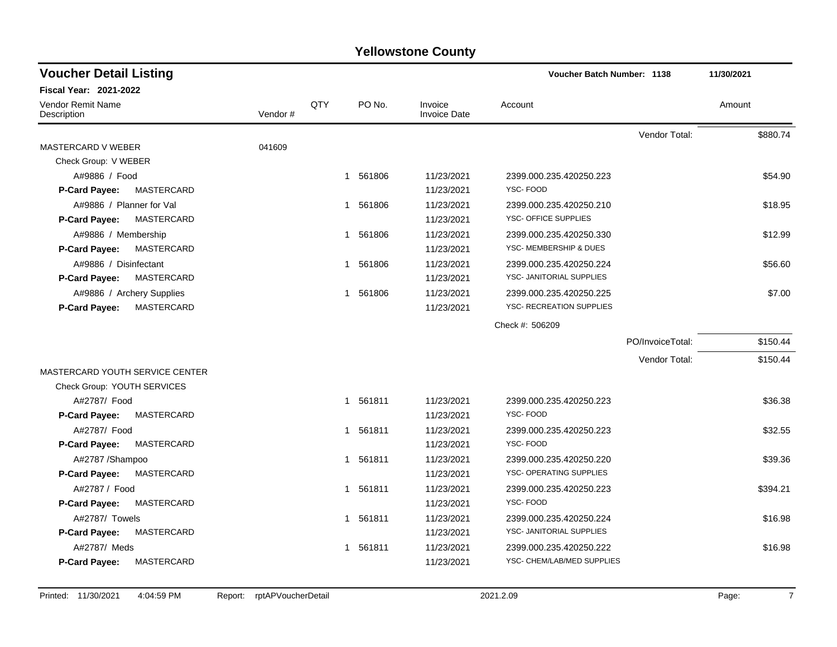| <b>Voucher Detail Listing</b>             |         |     |          |                                | <b>Voucher Batch Number: 1138</b> |                  | 11/30/2021 |
|-------------------------------------------|---------|-----|----------|--------------------------------|-----------------------------------|------------------|------------|
| <b>Fiscal Year: 2021-2022</b>             |         |     |          |                                |                                   |                  |            |
| Vendor Remit Name<br>Description          | Vendor# | QTY | PO No.   | Invoice<br><b>Invoice Date</b> | Account                           |                  | Amount     |
|                                           |         |     |          |                                |                                   | Vendor Total:    | \$880.74   |
| MASTERCARD V WEBER                        | 041609  |     |          |                                |                                   |                  |            |
| Check Group: V WEBER                      |         |     |          |                                |                                   |                  |            |
| A#9886 / Food                             |         |     | 1 561806 | 11/23/2021                     | 2399.000.235.420250.223           |                  | \$54.90    |
| P-Card Payee:<br>MASTERCARD               |         |     |          | 11/23/2021                     | YSC-FOOD                          |                  |            |
| A#9886 / Planner for Val                  |         |     | 1 561806 | 11/23/2021                     | 2399.000.235.420250.210           |                  | \$18.95    |
| <b>MASTERCARD</b><br><b>P-Card Payee:</b> |         |     |          | 11/23/2021                     | YSC- OFFICE SUPPLIES              |                  |            |
| A#9886 / Membership                       |         | 1   | 561806   | 11/23/2021                     | 2399.000.235.420250.330           |                  | \$12.99    |
| <b>P-Card Payee:</b><br>MASTERCARD        |         |     |          | 11/23/2021                     | YSC- MEMBERSHIP & DUES            |                  |            |
| A#9886 / Disinfectant                     |         |     | 1 561806 | 11/23/2021                     | 2399.000.235.420250.224           |                  | \$56.60    |
| MASTERCARD<br><b>P-Card Payee:</b>        |         |     |          | 11/23/2021                     | YSC- JANITORIAL SUPPLIES          |                  |            |
| A#9886 / Archery Supplies                 |         |     | 1 561806 | 11/23/2021                     | 2399.000.235.420250.225           |                  | \$7.00     |
| <b>MASTERCARD</b><br>P-Card Payee:        |         |     |          | 11/23/2021                     | <b>YSC- RECREATION SUPPLIES</b>   |                  |            |
|                                           |         |     |          |                                | Check #: 506209                   |                  |            |
|                                           |         |     |          |                                |                                   | PO/InvoiceTotal: | \$150.44   |
|                                           |         |     |          |                                |                                   | Vendor Total:    | \$150.44   |
| MASTERCARD YOUTH SERVICE CENTER           |         |     |          |                                |                                   |                  |            |
| Check Group: YOUTH SERVICES               |         |     |          |                                |                                   |                  |            |
| A#2787/ Food                              |         |     | 1 561811 | 11/23/2021                     | 2399.000.235.420250.223           |                  | \$36.38    |
| P-Card Payee:<br>MASTERCARD               |         |     |          | 11/23/2021                     | YSC-FOOD                          |                  |            |
| A#2787/ Food                              |         |     | 1 561811 | 11/23/2021                     | 2399.000.235.420250.223           |                  | \$32.55    |
| MASTERCARD<br><b>P-Card Payee:</b>        |         |     |          | 11/23/2021                     | YSC-FOOD                          |                  |            |
| A#2787 /Shampoo                           |         |     | 1 561811 | 11/23/2021                     | 2399.000.235.420250.220           |                  | \$39.36    |
| MASTERCARD<br><b>P-Card Payee:</b>        |         |     |          | 11/23/2021                     | YSC- OPERATING SUPPLIES           |                  |            |
| A#2787 / Food                             |         |     | 1 561811 | 11/23/2021                     | 2399.000.235.420250.223           |                  | \$394.21   |
| MASTERCARD<br>P-Card Payee:               |         |     |          | 11/23/2021                     | YSC-FOOD                          |                  |            |
| A#2787/ Towels                            |         |     | 1 561811 | 11/23/2021                     | 2399.000.235.420250.224           |                  | \$16.98    |
| P-Card Payee:<br>MASTERCARD               |         |     |          | 11/23/2021                     | YSC- JANITORIAL SUPPLIES          |                  |            |
| A#2787/ Meds                              |         | 1   | 561811   | 11/23/2021                     | 2399.000.235.420250.222           |                  | \$16.98    |
| MASTERCARD<br>P-Card Payee:               |         |     |          | 11/23/2021                     | YSC- CHEM/LAB/MED SUPPLIES        |                  |            |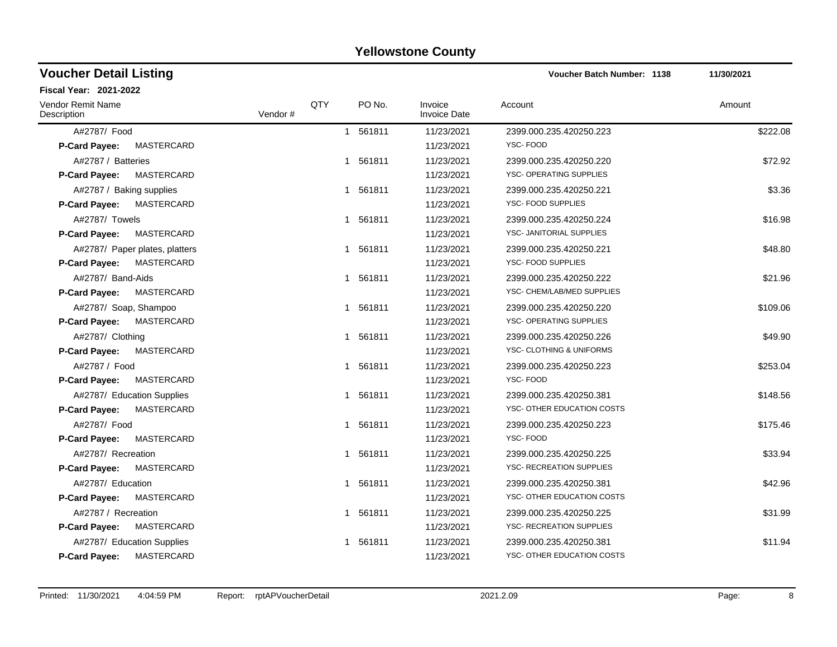#### A#2787/ Food 1 561811 11/23/2021 2399.000.235.420250.223 \$222.08 **P-Card Payee:** MASTERCARD 11/23/2021 YSC- FOOD A#2787 / Batteries 6 1 561811 11/23/2021 2399.000.235.420250.220 572.92 **P-Card Payee:** MASTERCARD **National Support of the Card Payee:** MASTERCARD 11/23/2021 YSC- OPERATING SUPPLIES A#2787 / Baking supplies 63.36 P-Card Payee: MASTERCARD **P-Card Payee:** MASTERCARD 11/23/2021 YSC- FOOD SUPPLIES A#2787/ Towels 1 561811 11/23/2021 2399.000.235.420250.224 \$16.98 **P-Card Payee:** MASTERCARD 11/23/2021 YSC- JANITORIAL SUPPLIES A#2787/ Paper plates, platters 1 11/23/2021 1561811 11/23/2021 1561811 11/23/2021 2399.000.235.420250.221 P-Card Payee: MASTERCARD **P-Card Payee:** MASTERCARD 11/23/2021 YSC- FOOD SUPPLIES A#2787/ Band-Aids 1 561811 11/23/2021 2399.000.235.420250.222 \$21.96 P-Card Payee: MASTERCARD **P-Card Payee:** MASTERCARD 11/23/2021 YSC- CHEM/LAB/MED SUPPLIES A#2787/ Soap, Shampoo 1 1 561811 11/23/2021 2399.000.235.420250.220 \$109.06 **P-Card Payee:** MASTERCARD MASTER ARE CONSIDERED ASSESSED A 21/23/2021 YSC- OPERATING SUPPLIES A#2787/ Clothing 349.90 (1/23/2021 2399.000.235.420250.226 549.90 **P-Card Payee:** MASTERCARD **NASTER ALL CONSUMING A SECULAR AREA CONSUMING A UNIFORMS 11/23/2021** YSC- CLOTHING & UNIFORMS A#2787 / Food 3253.04 1 561811 11/23/2021 2399.000.235.420250.223 \$253.04 **P-Card Payee:** MASTERCARD **11/23/2021** YSC- FOOD A#2787/ Education Supplies 6148.56 (11/23/2021 11/23/2021 11/23/2021 11/23/2021 11/23/2021 11/23/2021 11/23/2021 11/23/2021 11/23/2021 11/23/2021 11/23/2021 11/23/2021 11/23/2021 11/23/2021 11/23/2021 11/23/2021 11/23/2021 **P-Card Payee:** MASTERCARD 11/23/2021 YSC- OTHER EDUCATION COSTS A#2787/ Food 1 561811 11/23/2021 2399.000.235.420250.223 \$175.46 **P-Card Payee:** MASTERCARD 11/23/2021 YSC- FOOD A#2787/ Recreation 1 11/23/2021 2399.000.235.420250.225 \$33.94 **P-Card Payee:** MASTERCARD 11/23/2021 YSC- RECREATION SUPPLIES A#2787/ Education 1 561811 11/23/2021 2399.000.235.420250.381 542.96 **P-Card Payee:** MASTERCARD 11/23/2021 YSC- OTHER EDUCATION COSTS A#2787 / Recreation 1 561811 11/23/2021 2399.000.235.420250.225 \$31.99 **P-Card Payee:** MASTERCARD 11/23/2021 YSC- RECREATION SUPPLIES A#2787/ Education Supplies 611.94 \$11.94 (\$10.94 \$11.94 ) 11/23/2021 11/23/2021 2399.000.235.420250.381 **P-Card Payee:** MASTERCARD 11/23/2021 YSC- OTHER EDUCATION COSTS **Voucher Batch Number:** Vendor Remit Name **Description Voucher Detail Listing Fiscal Year: 2021-2022 1138 11/30/2021** PO No. Invoice Account Amount Amount Amount Amount Vendor # QTY Invoice Date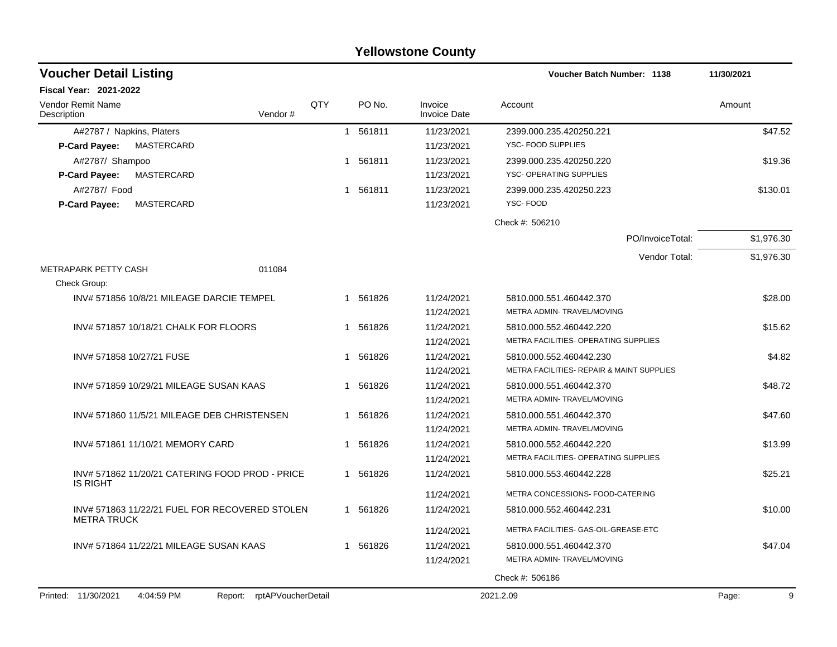|                                                                 |     |              |          | <b>I GILOWSLOTIE COUTILY</b>   |                                                       |            |
|-----------------------------------------------------------------|-----|--------------|----------|--------------------------------|-------------------------------------------------------|------------|
| <b>Voucher Detail Listing</b>                                   |     |              |          |                                | Voucher Batch Number: 1138                            | 11/30/2021 |
| Fiscal Year: 2021-2022                                          |     |              |          |                                |                                                       |            |
| <b>Vendor Remit Name</b><br>Description<br>Vendor#              | QTY |              | PO No.   | Invoice<br><b>Invoice Date</b> | Account                                               | Amount     |
| A#2787 / Napkins, Platers                                       |     | $\mathbf{1}$ | 561811   | 11/23/2021                     | 2399.000.235.420250.221                               | \$47.52    |
| MASTERCARD<br><b>P-Card Payee:</b>                              |     |              |          | 11/23/2021                     | YSC- FOOD SUPPLIES                                    |            |
| A#2787/ Shampoo                                                 |     | 1            | 561811   | 11/23/2021                     | 2399.000.235.420250.220                               | \$19.36    |
| MASTERCARD<br>P-Card Payee:                                     |     |              |          | 11/23/2021                     | YSC- OPERATING SUPPLIES                               |            |
| A#2787/ Food                                                    |     |              | 1 561811 | 11/23/2021                     | 2399.000.235.420250.223                               | \$130.01   |
| <b>MASTERCARD</b><br><b>P-Card Payee:</b>                       |     |              |          | 11/23/2021                     | YSC-FOOD                                              |            |
|                                                                 |     |              |          |                                | Check #: 506210                                       |            |
|                                                                 |     |              |          |                                | PO/InvoiceTotal:                                      | \$1,976.30 |
|                                                                 |     |              |          |                                | Vendor Total:                                         | \$1,976.30 |
| METRAPARK PETTY CASH<br>011084                                  |     |              |          |                                |                                                       |            |
| Check Group:                                                    |     |              |          |                                |                                                       |            |
| INV# 571856 10/8/21 MILEAGE DARCIE TEMPEL                       |     |              | 1 561826 | 11/24/2021                     | 5810.000.551.460442.370                               | \$28.00    |
|                                                                 |     |              |          | 11/24/2021                     | METRA ADMIN- TRAVEL/MOVING                            |            |
| INV# 571857 10/18/21 CHALK FOR FLOORS                           |     | 1            | 561826   | 11/24/2021                     | 5810.000.552.460442.220                               | \$15.62    |
|                                                                 |     |              |          | 11/24/2021                     | METRA FACILITIES- OPERATING SUPPLIES                  |            |
| INV# 571858 10/27/21 FUSE                                       |     | 1            | 561826   | 11/24/2021                     | 5810.000.552.460442.230                               | \$4.82     |
|                                                                 |     |              |          | 11/24/2021                     | <b>METRA FACILITIES- REPAIR &amp; MAINT SUPPLIES</b>  |            |
| INV# 571859 10/29/21 MILEAGE SUSAN KAAS                         |     | 1            | 561826   | 11/24/2021                     | 5810.000.551.460442.370                               | \$48.72    |
|                                                                 |     |              |          | 11/24/2021                     | METRA ADMIN- TRAVEL/MOVING                            |            |
| INV# 571860 11/5/21 MILEAGE DEB CHRISTENSEN                     |     |              | 1 561826 | 11/24/2021                     | 5810.000.551.460442.370                               | \$47.60    |
|                                                                 |     |              |          | 11/24/2021                     | METRA ADMIN-TRAVEL/MOVING                             |            |
| INV# 571861 11/10/21 MEMORY CARD                                |     |              | 1 561826 | 11/24/2021                     | 5810.000.552.460442.220                               | \$13.99    |
|                                                                 |     |              |          | 11/24/2021                     | METRA FACILITIES- OPERATING SUPPLIES                  |            |
| INV# 571862 11/20/21 CATERING FOOD PROD - PRICE                 |     |              | 1 561826 | 11/24/2021                     | 5810.000.553.460442.228                               | \$25.21    |
| <b>IS RIGHT</b>                                                 |     |              |          | 11/24/2021                     | METRA CONCESSIONS- FOOD-CATERING                      |            |
| INV# 571863 11/22/21 FUEL FOR RECOVERED STOLEN                  |     |              | 1 561826 | 11/24/2021                     | 5810.000.552.460442.231                               | \$10.00    |
| <b>METRA TRUCK</b>                                              |     |              |          |                                | METRA FACILITIES- GAS-OIL-GREASE-ETC                  |            |
|                                                                 |     |              |          | 11/24/2021                     |                                                       |            |
| INV# 571864 11/22/21 MILEAGE SUSAN KAAS                         |     | 1            | 561826   | 11/24/2021                     | 5810.000.551.460442.370<br>METRA ADMIN- TRAVEL/MOVING | \$47.04    |
|                                                                 |     |              |          | 11/24/2021                     |                                                       |            |
|                                                                 |     |              |          |                                | Check #: 506186                                       |            |
| Printed: 11/30/2021<br>4:04:59 PM<br>Report: rptAPVoucherDetail |     |              |          |                                | 2021.2.09                                             | 9<br>Page: |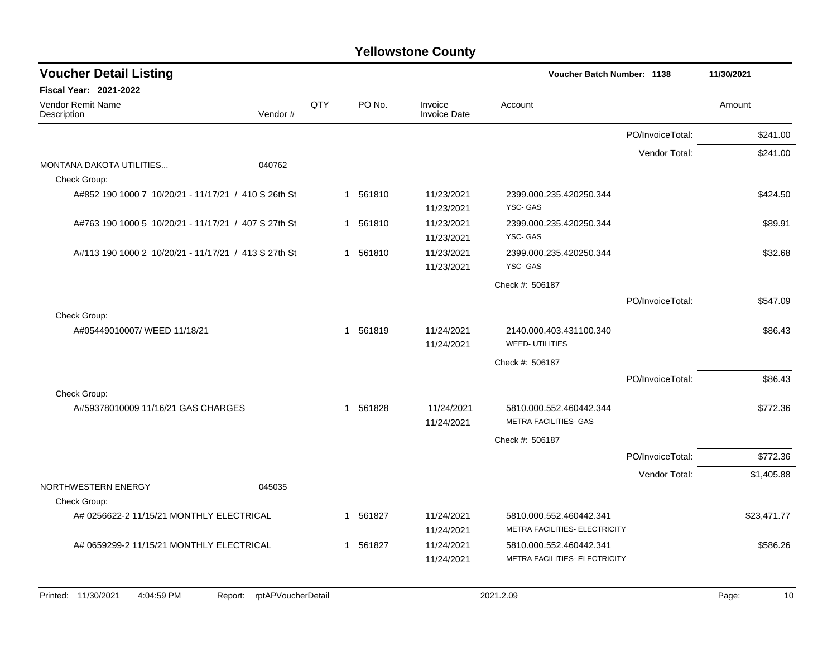| <b>Voucher Detail Listing</b>                        |                               |     |                        |                                | <b>Voucher Batch Number: 1138</b>                        |                  | 11/30/2021  |
|------------------------------------------------------|-------------------------------|-----|------------------------|--------------------------------|----------------------------------------------------------|------------------|-------------|
| <b>Fiscal Year: 2021-2022</b>                        |                               |     |                        |                                |                                                          |                  |             |
| <b>Vendor Remit Name</b><br>Description              | Vendor#                       | QTY | PO No.                 | Invoice<br><b>Invoice Date</b> | Account                                                  |                  | Amount      |
|                                                      |                               |     |                        |                                |                                                          | PO/InvoiceTotal: | \$241.00    |
|                                                      |                               |     |                        |                                |                                                          | Vendor Total:    | \$241.00    |
| MONTANA DAKOTA UTILITIES<br>Check Group:             | 040762                        |     |                        |                                |                                                          |                  |             |
| A#852 190 1000 7 10/20/21 - 11/17/21 / 410 S 26th St |                               |     | 1 561810               | 11/23/2021<br>11/23/2021       | 2399.000.235.420250.344<br>YSC-GAS                       |                  | \$424.50    |
| A#763 190 1000 5 10/20/21 - 11/17/21 / 407 S 27th St |                               |     | 1 561810               | 11/23/2021<br>11/23/2021       | 2399.000.235.420250.344<br>YSC-GAS                       |                  | \$89.91     |
| A#113 190 1000 2 10/20/21 - 11/17/21 / 413 S 27th St |                               |     | 1 561810               | 11/23/2021<br>11/23/2021       | 2399.000.235.420250.344<br>YSC-GAS                       |                  | \$32.68     |
|                                                      |                               |     |                        |                                | Check #: 506187                                          |                  |             |
|                                                      |                               |     |                        |                                |                                                          | PO/InvoiceTotal: | \$547.09    |
| Check Group:                                         |                               |     |                        |                                |                                                          |                  |             |
| A#05449010007/WEED 11/18/21                          |                               |     | 1 561819               | 11/24/2021<br>11/24/2021       | 2140.000.403.431100.340<br><b>WEED- UTILITIES</b>        |                  | \$86.43     |
|                                                      |                               |     |                        |                                | Check #: 506187                                          |                  |             |
|                                                      |                               |     |                        |                                |                                                          | PO/InvoiceTotal: | \$86.43     |
| Check Group:                                         |                               |     |                        |                                |                                                          |                  |             |
| A#59378010009 11/16/21 GAS CHARGES                   |                               |     | 561828<br>1            | 11/24/2021<br>11/24/2021       | 5810.000.552.460442.344<br>METRA FACILITIES- GAS         |                  | \$772.36    |
|                                                      |                               |     |                        |                                | Check #: 506187                                          |                  |             |
|                                                      |                               |     |                        |                                |                                                          | PO/InvoiceTotal: | \$772.36    |
|                                                      |                               |     |                        |                                |                                                          | Vendor Total:    | \$1,405.88  |
| NORTHWESTERN ENERGY                                  | 045035                        |     |                        |                                |                                                          |                  |             |
| Check Group:                                         |                               |     |                        |                                |                                                          |                  |             |
| A# 0256622-2 11/15/21 MONTHLY ELECTRICAL             |                               |     | 561827<br>$\mathbf{1}$ | 11/24/2021<br>11/24/2021       | 5810.000.552.460442.341<br>METRA FACILITIES- ELECTRICITY |                  | \$23,471.77 |
| A# 0659299-2 11/15/21 MONTHLY ELECTRICAL             |                               |     | 1 561827               | 11/24/2021                     | 5810.000.552.460442.341                                  |                  | \$586.26    |
|                                                      |                               |     |                        | 11/24/2021                     | METRA FACILITIES- ELECTRICITY                            |                  |             |
|                                                      |                               |     |                        |                                |                                                          |                  |             |
| Printed: 11/30/2021<br>4:04:59 PM                    | rptAPVoucherDetail<br>Report: |     |                        |                                | 2021.2.09                                                |                  | 10<br>Page: |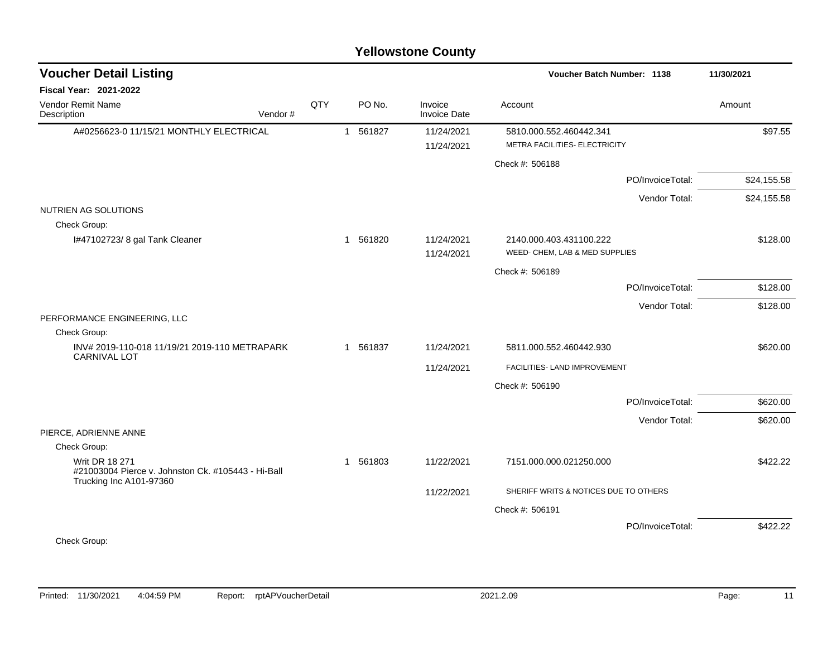|                                                                                                                        |         |     |                        | <b>Yellowstone County</b>      |                                                           |                  |             |
|------------------------------------------------------------------------------------------------------------------------|---------|-----|------------------------|--------------------------------|-----------------------------------------------------------|------------------|-------------|
| <b>Voucher Detail Listing</b>                                                                                          |         |     |                        |                                | Voucher Batch Number: 1138                                |                  | 11/30/2021  |
| Fiscal Year: 2021-2022                                                                                                 |         |     |                        |                                |                                                           |                  |             |
| Vendor Remit Name<br>Description                                                                                       | Vendor# | QTY | PO No.                 | Invoice<br><b>Invoice Date</b> | Account                                                   |                  | Amount      |
| A#0256623-0 11/15/21 MONTHLY ELECTRICAL                                                                                |         |     | 561827<br>$\mathbf{1}$ | 11/24/2021<br>11/24/2021       | 5810.000.552.460442.341<br>METRA FACILITIES- ELECTRICITY  |                  | \$97.55     |
|                                                                                                                        |         |     |                        |                                | Check #: 506188                                           |                  |             |
|                                                                                                                        |         |     |                        |                                |                                                           | PO/InvoiceTotal: | \$24,155.58 |
|                                                                                                                        |         |     |                        |                                |                                                           | Vendor Total:    | \$24,155.58 |
| NUTRIEN AG SOLUTIONS<br>Check Group:                                                                                   |         |     |                        |                                |                                                           |                  |             |
| I#47102723/8 gal Tank Cleaner                                                                                          |         |     | 1 561820               | 11/24/2021<br>11/24/2021       | 2140.000.403.431100.222<br>WEED- CHEM, LAB & MED SUPPLIES |                  | \$128.00    |
|                                                                                                                        |         |     |                        |                                | Check #: 506189                                           |                  |             |
|                                                                                                                        |         |     |                        |                                |                                                           | PO/InvoiceTotal: | \$128.00    |
|                                                                                                                        |         |     |                        |                                |                                                           | Vendor Total:    | \$128.00    |
| PERFORMANCE ENGINEERING, LLC<br>Check Group:                                                                           |         |     |                        |                                |                                                           |                  |             |
| INV# 2019-110-018 11/19/21 2019-110 METRAPARK                                                                          |         |     | 1 561837               | 11/24/2021                     | 5811.000.552.460442.930                                   |                  | \$620.00    |
| <b>CARNIVAL LOT</b>                                                                                                    |         |     |                        | 11/24/2021                     | FACILITIES- LAND IMPROVEMENT                              |                  |             |
|                                                                                                                        |         |     |                        |                                | Check #: 506190                                           |                  |             |
|                                                                                                                        |         |     |                        |                                |                                                           | PO/InvoiceTotal: | \$620.00    |
|                                                                                                                        |         |     |                        |                                |                                                           | Vendor Total:    | \$620.00    |
| PIERCE, ADRIENNE ANNE                                                                                                  |         |     |                        |                                |                                                           |                  |             |
| Check Group:<br><b>Writ DR 18 271</b><br>#21003004 Pierce v. Johnston Ck. #105443 - Hi-Ball<br>Trucking Inc A101-97360 |         |     | 561803<br>$\mathbf{1}$ | 11/22/2021                     | 7151.000.000.021250.000                                   |                  | \$422.22    |
|                                                                                                                        |         |     |                        | 11/22/2021                     | SHERIFF WRITS & NOTICES DUE TO OTHERS                     |                  |             |
|                                                                                                                        |         |     |                        |                                | Check #: 506191                                           |                  |             |
|                                                                                                                        |         |     |                        |                                |                                                           | PO/InvoiceTotal: | \$422.22    |
| Check Group:                                                                                                           |         |     |                        |                                |                                                           |                  |             |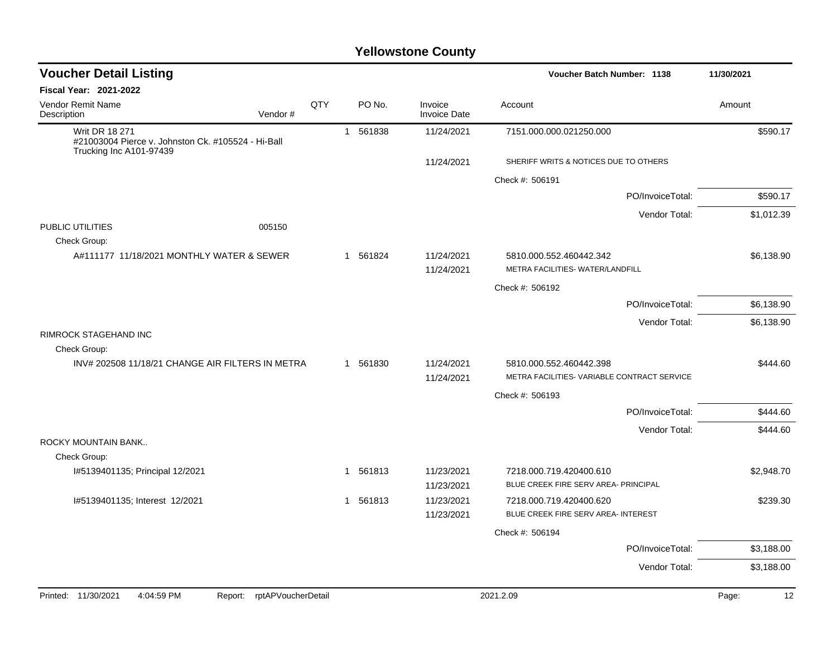| <b>Voucher Detail Listing</b>                                                                          | Voucher Batch Number: 1138 |                        | 11/30/2021                     |                                                                        |             |
|--------------------------------------------------------------------------------------------------------|----------------------------|------------------------|--------------------------------|------------------------------------------------------------------------|-------------|
| <b>Fiscal Year: 2021-2022</b>                                                                          |                            |                        |                                |                                                                        |             |
| <b>Vendor Remit Name</b><br>Vendor#<br>Description                                                     | QTY                        | PO No.                 | Invoice<br><b>Invoice Date</b> | Account                                                                | Amount      |
| <b>Writ DR 18 271</b><br>#21003004 Pierce v. Johnston Ck. #105524 - Hi-Ball<br>Trucking Inc A101-97439 |                            | 1 561838               | 11/24/2021                     | 7151.000.000.021250.000                                                | \$590.17    |
|                                                                                                        |                            |                        | 11/24/2021                     | SHERIFF WRITS & NOTICES DUE TO OTHERS                                  |             |
|                                                                                                        |                            |                        |                                | Check #: 506191                                                        |             |
|                                                                                                        |                            |                        |                                | PO/InvoiceTotal:                                                       | \$590.17    |
|                                                                                                        |                            |                        |                                | Vendor Total:                                                          | \$1,012.39  |
| PUBLIC UTILITIES<br>005150<br>Check Group:                                                             |                            |                        |                                |                                                                        |             |
| A#111177 11/18/2021 MONTHLY WATER & SEWER                                                              |                            | 561824<br>$\mathbf{1}$ | 11/24/2021<br>11/24/2021       | 5810.000.552.460442.342<br>METRA FACILITIES- WATER/LANDFILL            | \$6,138.90  |
|                                                                                                        |                            |                        |                                | Check #: 506192                                                        |             |
|                                                                                                        |                            |                        |                                | PO/InvoiceTotal:                                                       | \$6,138.90  |
|                                                                                                        |                            |                        |                                | Vendor Total:                                                          | \$6,138.90  |
| RIMROCK STAGEHAND INC<br>Check Group:                                                                  |                            |                        |                                |                                                                        |             |
| INV# 202508 11/18/21 CHANGE AIR FILTERS IN METRA                                                       |                            | 1 561830               | 11/24/2021<br>11/24/2021       | 5810.000.552.460442.398<br>METRA FACILITIES- VARIABLE CONTRACT SERVICE | \$444.60    |
|                                                                                                        |                            |                        |                                | Check #: 506193                                                        |             |
|                                                                                                        |                            |                        |                                | PO/InvoiceTotal:                                                       | \$444.60    |
|                                                                                                        |                            |                        |                                | Vendor Total:                                                          | \$444.60    |
| ROCKY MOUNTAIN BANK                                                                                    |                            |                        |                                |                                                                        |             |
| Check Group:                                                                                           |                            |                        |                                |                                                                        |             |
| I#5139401135; Principal 12/2021                                                                        |                            | 1 561813               | 11/23/2021                     | 7218.000.719.420400.610                                                | \$2,948.70  |
|                                                                                                        |                            |                        | 11/23/2021                     | BLUE CREEK FIRE SERV AREA- PRINCIPAL                                   |             |
| I#5139401135; Interest 12/2021                                                                         |                            | 1 561813               | 11/23/2021                     | 7218.000.719.420400.620<br>BLUE CREEK FIRE SERV AREA- INTEREST         | \$239.30    |
|                                                                                                        |                            |                        | 11/23/2021                     |                                                                        |             |
|                                                                                                        |                            |                        |                                | Check #: 506194                                                        |             |
|                                                                                                        |                            |                        |                                | PO/InvoiceTotal:                                                       | \$3,188.00  |
|                                                                                                        |                            |                        |                                | Vendor Total:                                                          | \$3,188.00  |
| 4:04:59 PM<br>Printed: 11/30/2021<br>rptAPVoucherDetail<br>Report:                                     |                            |                        |                                | 2021.2.09                                                              | 12<br>Page: |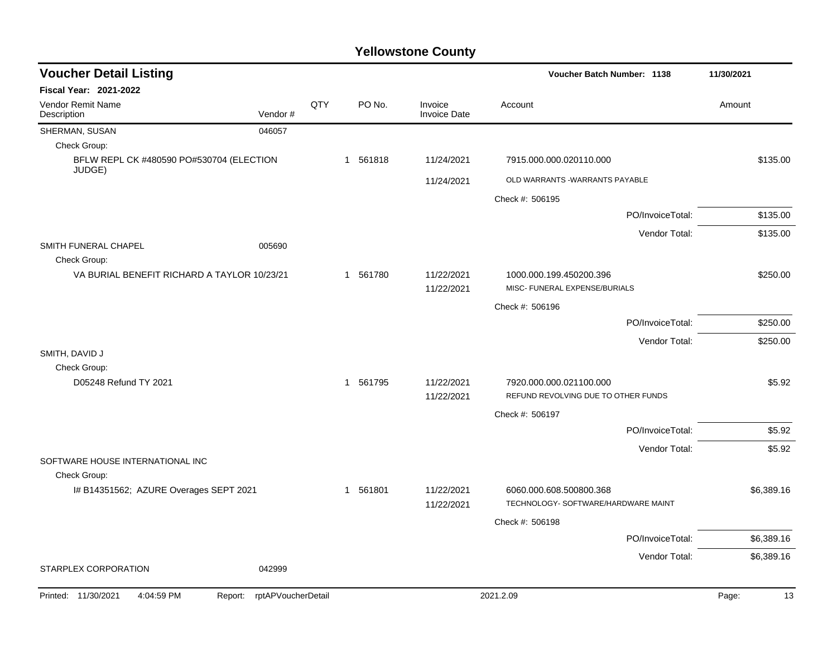| <b>Voucher Detail Listing</b>                                   |     |          | Voucher Batch Number: 1138     | 11/30/2021                                               |             |
|-----------------------------------------------------------------|-----|----------|--------------------------------|----------------------------------------------------------|-------------|
| Fiscal Year: 2021-2022                                          |     |          |                                |                                                          |             |
| Vendor Remit Name<br>Vendor#<br>Description                     | QTY | PO No.   | Invoice<br><b>Invoice Date</b> | Account                                                  | Amount      |
| SHERMAN, SUSAN<br>046057                                        |     |          |                                |                                                          |             |
| Check Group:                                                    |     |          |                                |                                                          |             |
| BFLW REPL CK #480590 PO#530704 (ELECTION<br>JUDGE)              |     | 1 561818 | 11/24/2021                     | 7915.000.000.020110.000                                  | \$135.00    |
|                                                                 |     |          | 11/24/2021                     | OLD WARRANTS - WARRANTS PAYABLE                          |             |
|                                                                 |     |          |                                | Check #: 506195                                          |             |
|                                                                 |     |          |                                | PO/InvoiceTotal:                                         | \$135.00    |
|                                                                 |     |          |                                | Vendor Total:                                            | \$135.00    |
| SMITH FUNERAL CHAPEL<br>005690                                  |     |          |                                |                                                          |             |
| Check Group:                                                    |     |          |                                |                                                          |             |
| VA BURIAL BENEFIT RICHARD A TAYLOR 10/23/21                     |     | 1 561780 | 11/22/2021<br>11/22/2021       | 1000.000.199.450200.396<br>MISC- FUNERAL EXPENSE/BURIALS | \$250.00    |
|                                                                 |     |          |                                | Check #: 506196                                          |             |
|                                                                 |     |          |                                | PO/InvoiceTotal:                                         | \$250.00    |
|                                                                 |     |          |                                | Vendor Total:                                            | \$250.00    |
| SMITH, DAVID J                                                  |     |          |                                |                                                          |             |
| Check Group:                                                    |     |          |                                |                                                          |             |
| D05248 Refund TY 2021                                           |     | 1 561795 | 11/22/2021                     | 7920.000.000.021100.000                                  | \$5.92      |
|                                                                 |     |          | 11/22/2021                     | REFUND REVOLVING DUE TO OTHER FUNDS                      |             |
|                                                                 |     |          |                                | Check #: 506197                                          |             |
|                                                                 |     |          |                                | PO/InvoiceTotal:                                         | \$5.92      |
|                                                                 |     |          |                                | Vendor Total:                                            | \$5.92      |
| SOFTWARE HOUSE INTERNATIONAL INC                                |     |          |                                |                                                          |             |
| Check Group:<br>I# B14351562; AZURE Overages SEPT 2021          |     | 1 561801 | 11/22/2021                     | 6060.000.608.500800.368                                  | \$6,389.16  |
|                                                                 |     |          | 11/22/2021                     | TECHNOLOGY- SOFTWARE/HARDWARE MAINT                      |             |
|                                                                 |     |          |                                | Check #: 506198                                          |             |
|                                                                 |     |          |                                | PO/InvoiceTotal:                                         | \$6,389.16  |
|                                                                 |     |          |                                | Vendor Total:                                            | \$6,389.16  |
| STARPLEX CORPORATION<br>042999                                  |     |          |                                |                                                          |             |
| 4:04:59 PM<br>Report: rptAPVoucherDetail<br>Printed: 11/30/2021 |     |          |                                | 2021.2.09                                                | 13<br>Page: |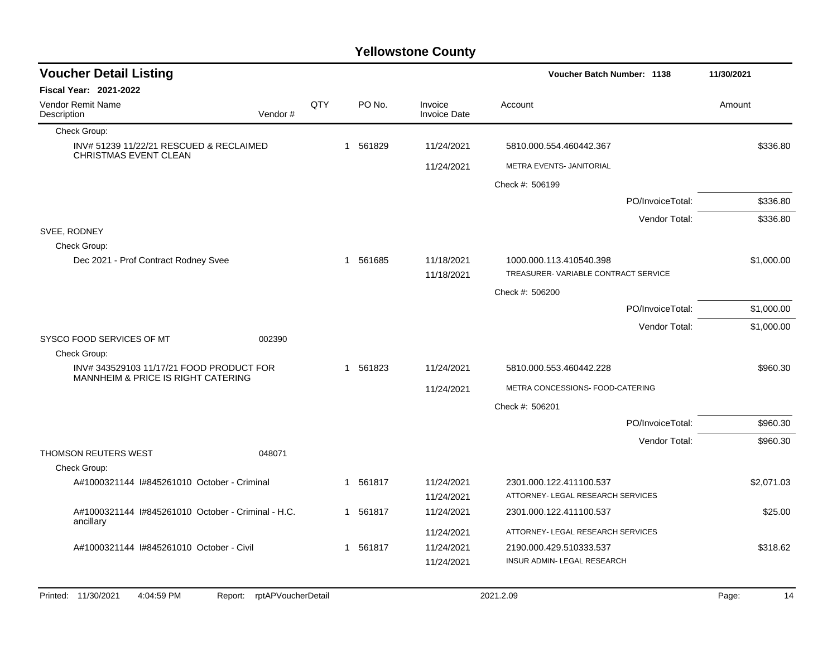| <b>Voucher Detail Listing</b>                                                                            |         |     |          |                                          |                          | Voucher Batch Number: 1138          | 11/30/2021 |
|----------------------------------------------------------------------------------------------------------|---------|-----|----------|------------------------------------------|--------------------------|-------------------------------------|------------|
| <b>Fiscal Year: 2021-2022</b>                                                                            |         |     |          |                                          |                          |                                     |            |
| Vendor Remit Name<br>Description                                                                         | Vendor# | QTY |          | PO No.<br>Invoice<br><b>Invoice Date</b> | Account                  |                                     | Amount     |
| Check Group:                                                                                             |         |     |          |                                          |                          |                                     |            |
| INV# 51239 11/22/21 RESCUED & RECLAIMED<br>CHRISTMAS EVENT CLEAN                                         |         |     | 1 561829 | 11/24/2021                               | 5810.000.554.460442.367  |                                     | \$336.80   |
|                                                                                                          |         |     |          | 11/24/2021                               | METRA EVENTS- JANITORIAL |                                     |            |
|                                                                                                          |         |     |          |                                          | Check #: 506199          |                                     |            |
|                                                                                                          |         |     |          |                                          |                          | PO/InvoiceTotal:                    | \$336.80   |
|                                                                                                          |         |     |          |                                          |                          | Vendor Total:                       | \$336.80   |
| SVEE, RODNEY                                                                                             |         |     |          |                                          |                          |                                     |            |
| Check Group:                                                                                             |         |     |          |                                          |                          |                                     |            |
| Dec 2021 - Prof Contract Rodney Svee                                                                     |         |     | 1 561685 | 11/18/2021<br>11/18/2021                 | 1000.000.113.410540.398  | TREASURER-VARIABLE CONTRACT SERVICE | \$1,000.00 |
|                                                                                                          |         |     |          |                                          | Check #: 506200          |                                     |            |
|                                                                                                          |         |     |          |                                          |                          | PO/InvoiceTotal:                    | \$1,000.00 |
|                                                                                                          |         |     |          |                                          |                          | Vendor Total:                       | \$1,000.00 |
| SYSCO FOOD SERVICES OF MT                                                                                | 002390  |     |          |                                          |                          |                                     |            |
| Check Group:<br>INV#343529103 11/17/21 FOOD PRODUCT FOR<br><b>MANNHEIM &amp; PRICE IS RIGHT CATERING</b> |         |     | 1 561823 | 11/24/2021                               | 5810.000.553.460442.228  |                                     | \$960.30   |
|                                                                                                          |         |     |          |                                          |                          | METRA CONCESSIONS- FOOD-CATERING    |            |
|                                                                                                          |         |     |          | 11/24/2021                               |                          |                                     |            |
|                                                                                                          |         |     |          |                                          | Check #: 506201          |                                     |            |
|                                                                                                          |         |     |          |                                          |                          | PO/InvoiceTotal:                    | \$960.30   |
| <b>THOMSON REUTERS WEST</b>                                                                              | 048071  |     |          |                                          |                          | Vendor Total:                       | \$960.30   |
| Check Group:                                                                                             |         |     |          |                                          |                          |                                     |            |
| A#1000321144 I#845261010 October - Criminal                                                              |         |     | 1 561817 | 11/24/2021                               | 2301.000.122.411100.537  |                                     | \$2,071.03 |
|                                                                                                          |         |     |          | 11/24/2021                               |                          | ATTORNEY- LEGAL RESEARCH SERVICES   |            |
| A#1000321144 I#845261010 October - Criminal - H.C.                                                       |         |     | 1 561817 | 11/24/2021                               | 2301.000.122.411100.537  |                                     | \$25.00    |
| ancillary                                                                                                |         |     |          | 11/24/2021                               |                          | ATTORNEY- LEGAL RESEARCH SERVICES   |            |
| A#1000321144 I#845261010 October - Civil                                                                 |         |     | 1 561817 | 11/24/2021                               | 2190.000.429.510333.537  |                                     | \$318.62   |
|                                                                                                          |         |     |          | 11/24/2021                               |                          | INSUR ADMIN- LEGAL RESEARCH         |            |
|                                                                                                          |         |     |          |                                          |                          |                                     |            |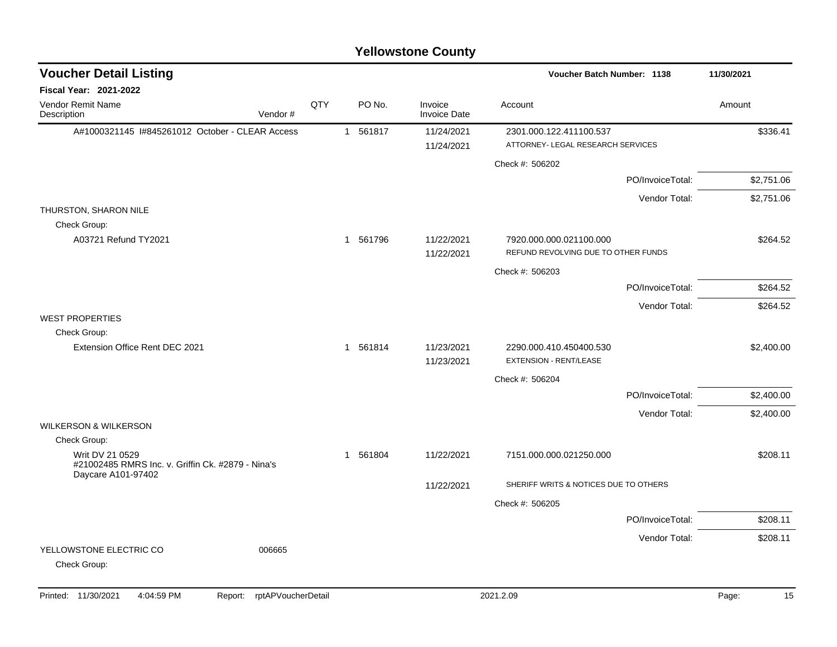### A#1000321145 I#845261012 October - CLEAR Access 1 561817 11/24/2021 2301.000.122.411100.537 \$336.41 11/24/2021 ATTORNEY- LEGAL RESEARCH SERVICES Check #: 506202 PO/InvoiceTotal: \$2,751.06 Vendor Total: \$2,751.06 THURSTON, SHARON NILE Check Group: A03721 Refund TY2021 1 1 561796 11/22/2021 7920.000.000.021100.000 1 564.52 11/22/2021 REFUND REVOLVING DUE TO OTHER FUNDS Check #: 506203 PO/InvoiceTotal: \$264.52 Vendor Total: \$264.52 WEST PROPERTIES Check Group: Extension Office Rent DEC 2021 1 561814 11/23/2021 2290.000.410.450400.530 32.400.00 11/23/2021 EXTENSION - RENT/LEASE Check #: 506204 PO/InvoiceTotal: \$2,400.00 Vendor Total: \$2,400.00 WILKERSON & WILKERSON Check Group: Writ DV 21 0529 #21002485 RMRS Inc. v. Griffin Ck. #2879 - Nina's Daycare A101-97402 1 561804 11/22/2021 7151.000.000.021250.000 \$208.11 11/22/2021 SHERIFF WRITS & NOTICES DUE TO OTHERS Check #: 506205 PO/InvoiceTotal: \$208.11 Vendor Total: \$208.11 YELLOWSTONE ELECTRIC CO 006665 Check Group: **Voucher Batch Number: Yellowstone County** Vendor Remit Name **Description Voucher Detail Listing Fiscal Year: 2021-2022 1138 11/30/2021** PO No. Invoice Account Amount Amount Amount Amount Vendor # **QTY** Invoice Date